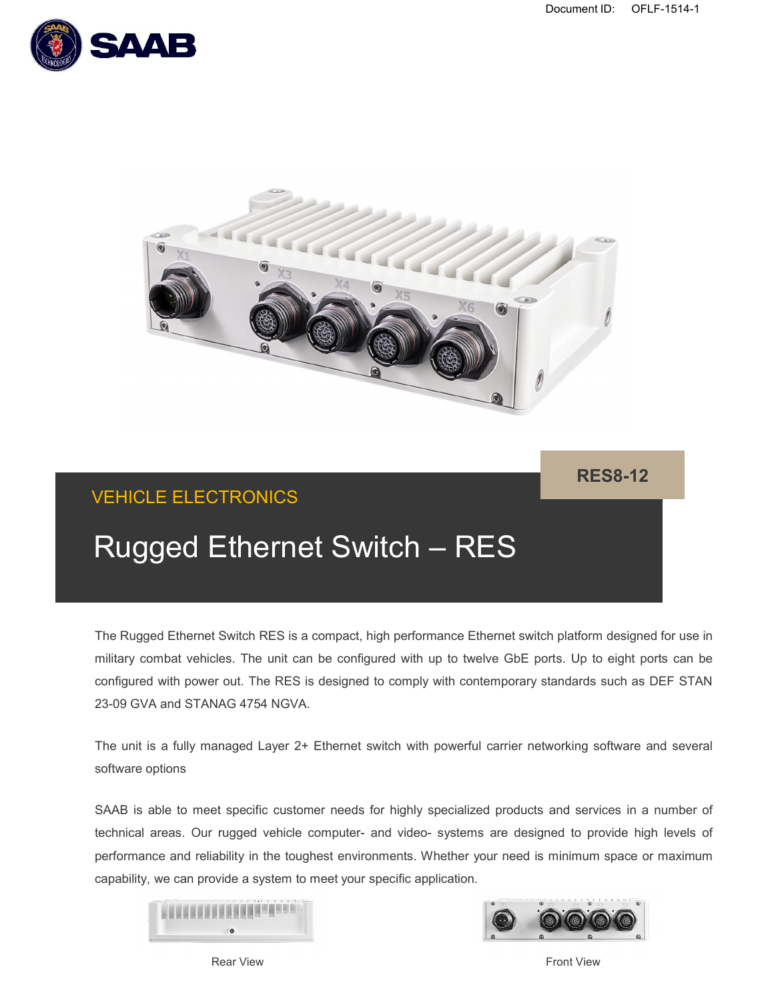



**RES8-12**

# VEHICLE ELECTRONICS

# Rugged Ethernet Switch – RES

The Rugged Ethernet Switch RES is a compact, high performance Ethernet switch platform designed for use in military combat vehicles. The unit can be configured with up to twelve GbE ports. Up to eight ports can be configured with power out. The RES is designed to comply with contemporary standards such as DEF STAN 23-09 GVA and STANAG 4754 NGVA.

The unit is a fully managed Layer 2+ Ethernet switch with powerful carrier networking software and several software options

SAAB is able to meet specific customer needs for highly specialized products and services in a number of technical areas. Our rugged vehicle computer- and video- systems are designed to provide high levels of performance and reliability in the toughest environments. Whether your need is minimum space or maximum capability, we can provide a system to meet your specific application.





Rear View **Front View Rear View**